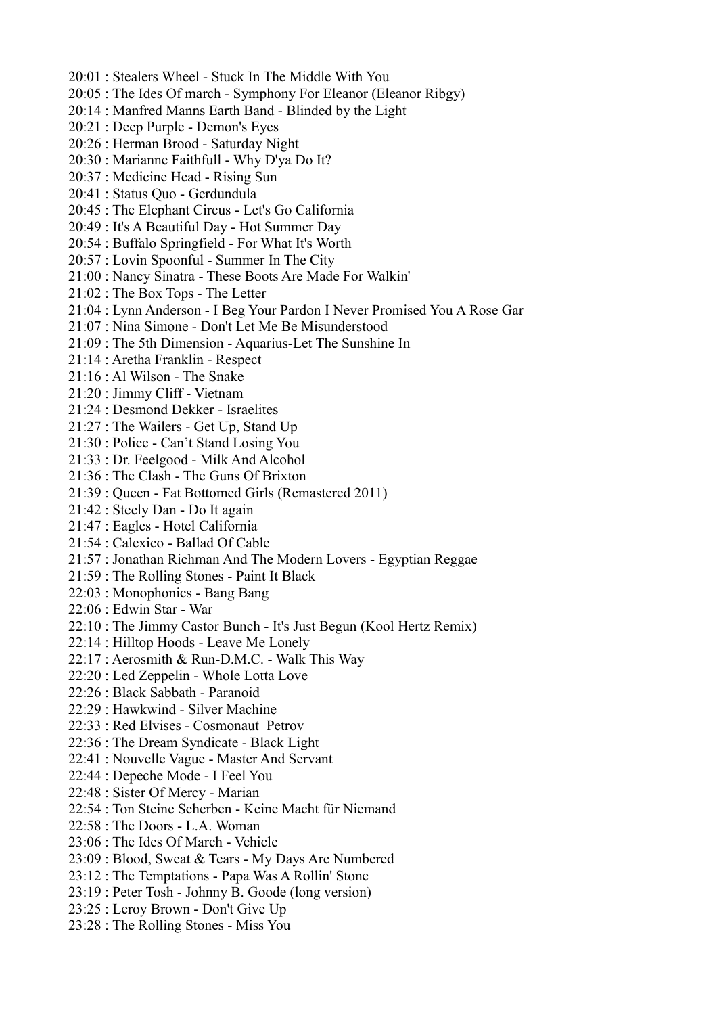- 20:01 : Stealers Wheel Stuck In The Middle With You
- 20:05 : The Ides Of march Symphony For Eleanor (Eleanor Ribgy)
- 20:14 : Manfred Manns Earth Band Blinded by the Light
- 20:21 : Deep Purple Demon's Eyes
- 20:26 : Herman Brood Saturday Night
- 20:30 : Marianne Faithfull Why D'ya Do It?
- 20:37 : Medicine Head Rising Sun
- 20:41 : Status Quo Gerdundula
- 20:45 : The Elephant Circus Let's Go California
- 20:49 : It's A Beautiful Day Hot Summer Day
- 20:54 : Buffalo Springfield For What It's Worth
- 20:57 : Lovin Spoonful Summer In The City
- 21:00 : Nancy Sinatra These Boots Are Made For Walkin'
- 21:02 : The Box Tops The Letter
- 21:04 : Lynn Anderson I Beg Your Pardon I Never Promised You A Rose Gar
- 21:07 : Nina Simone Don't Let Me Be Misunderstood
- 21:09 : The 5th Dimension Aquarius-Let The Sunshine In
- 21:14 : Aretha Franklin Respect
- 21:16 : Al Wilson The Snake
- 21:20 : Jimmy Cliff Vietnam
- 21:24 : Desmond Dekker Israelites
- 21:27 : The Wailers Get Up, Stand Up
- 21:30 : Police Can't Stand Losing You
- 21:33 : Dr. Feelgood Milk And Alcohol
- 21:36 : The Clash The Guns Of Brixton
- 21:39 : Queen Fat Bottomed Girls (Remastered 2011)
- 21:42 : Steely Dan Do It again
- 21:47 : Eagles Hotel California
- 21:54 : Calexico Ballad Of Cable
- 21:57 : Jonathan Richman And The Modern Lovers Egyptian Reggae
- 21:59 : The Rolling Stones Paint It Black
- 22:03 : Monophonics Bang Bang
- 22:06 : Edwin Star War
- 22:10 : The Jimmy Castor Bunch It's Just Begun (Kool Hertz Remix)
- 22:14 : Hilltop Hoods Leave Me Lonely
- 22:17 : Aerosmith & Run-D.M.C. Walk This Way
- 22:20 : Led Zeppelin Whole Lotta Love
- 22:26 : Black Sabbath Paranoid
- 22:29 : Hawkwind Silver Machine
- 22:33 : Red Elvises Cosmonaut Petrov
- 22:36 : The Dream Syndicate Black Light
- 22:41 : Nouvelle Vague Master And Servant
- 22:44 : Depeche Mode I Feel You
- 22:48 : Sister Of Mercy Marian
- 22:54 : Ton Steine Scherben Keine Macht für Niemand
- 22:58 : The Doors L.A. Woman
- 23:06 : The Ides Of March Vehicle
- 23:09 : Blood, Sweat & Tears My Days Are Numbered
- 23:12 : The Temptations Papa Was A Rollin' Stone
- 23:19 : Peter Tosh Johnny B. Goode (long version)
- 23:25 : Leroy Brown Don't Give Up
- 23:28 : The Rolling Stones Miss You